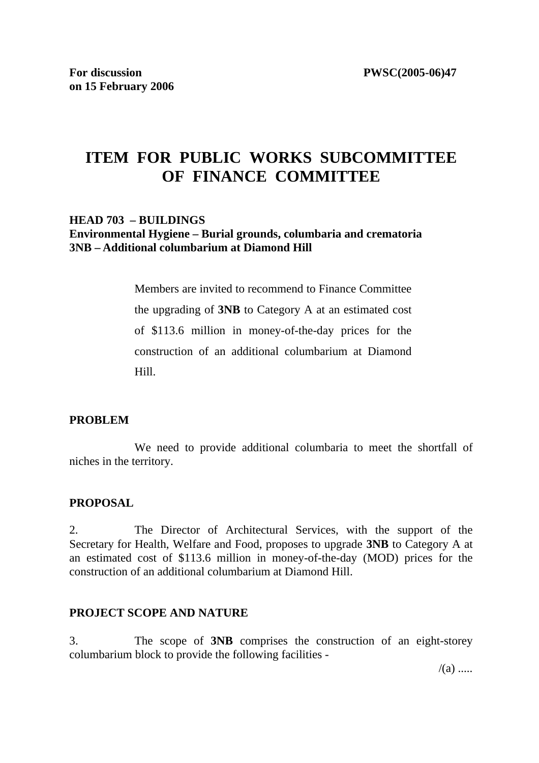# **ITEM FOR PUBLIC WORKS SUBCOMMITTEE OF FINANCE COMMITTEE**

#### **HEAD 703 – BUILDINGS Environmental Hygiene – Burial grounds, columbaria and crematoria 3NB – Additional columbarium at Diamond Hill**

Members are invited to recommend to Finance Committee the upgrading of **3NB** to Category A at an estimated cost of \$113.6 million in money-of-the-day prices for the construction of an additional columbarium at Diamond Hill.

#### **PROBLEM**

 We need to provide additional columbaria to meet the shortfall of niches in the territory.

#### **PROPOSAL**

2. The Director of Architectural Services, with the support of the Secretary for Health, Welfare and Food, proposes to upgrade **3NB** to Category A at an estimated cost of \$113.6 million in money-of-the-day (MOD) prices for the construction of an additional columbarium at Diamond Hill.

#### **PROJECT SCOPE AND NATURE**

3. The scope of **3NB** comprises the construction of an eight-storey columbarium block to provide the following facilities -

 $/(a)$  .....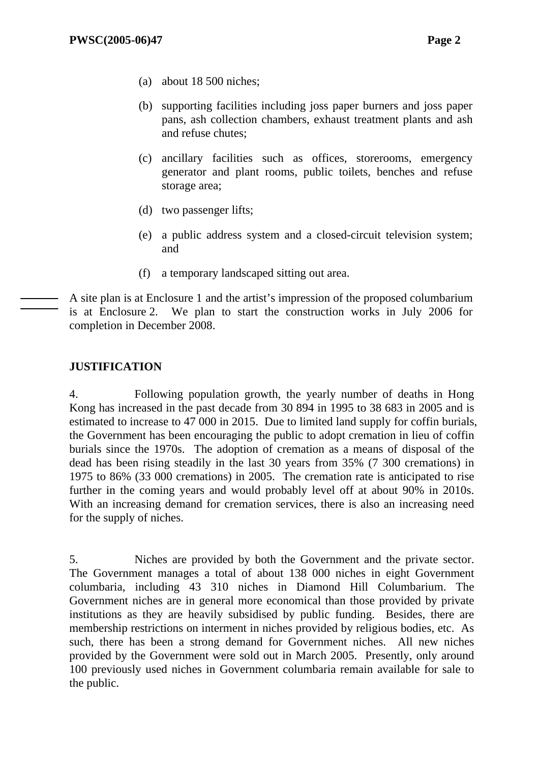- (a) about 18 500 niches;
- (b) supporting facilities including joss paper burners and joss paper pans, ash collection chambers, exhaust treatment plants and ash and refuse chutes;
- (c) ancillary facilities such as offices, storerooms, emergency generator and plant rooms, public toilets, benches and refuse storage area;
- (d) two passenger lifts;
- (e) a public address system and a closed-circuit television system; and
- (f) a temporary landscaped sitting out area.

A site plan is at Enclosure 1 and the artist's impression of the proposed columbarium is at Enclosure 2. We plan to start the construction works in July 2006 for completion in December 2008.

## **JUSTIFICATION**

4. Following population growth, the yearly number of deaths in Hong Kong has increased in the past decade from 30 894 in 1995 to 38 683 in 2005 and is estimated to increase to 47 000 in 2015. Due to limited land supply for coffin burials, the Government has been encouraging the public to adopt cremation in lieu of coffin burials since the 1970s. The adoption of cremation as a means of disposal of the dead has been rising steadily in the last 30 years from 35% (7 300 cremations) in 1975 to 86% (33 000 cremations) in 2005. The cremation rate is anticipated to rise further in the coming years and would probably level off at about 90% in 2010s. With an increasing demand for cremation services, there is also an increasing need for the supply of niches.

5. Niches are provided by both the Government and the private sector. The Government manages a total of about 138 000 niches in eight Government columbaria, including 43 310 niches in Diamond Hill Columbarium. The Government niches are in general more economical than those provided by private institutions as they are heavily subsidised by public funding. Besides, there are membership restrictions on interment in niches provided by religious bodies, etc. As such, there has been a strong demand for Government niches. All new niches provided by the Government were sold out in March 2005. Presently, only around 100 previously used niches in Government columbaria remain available for sale to the public.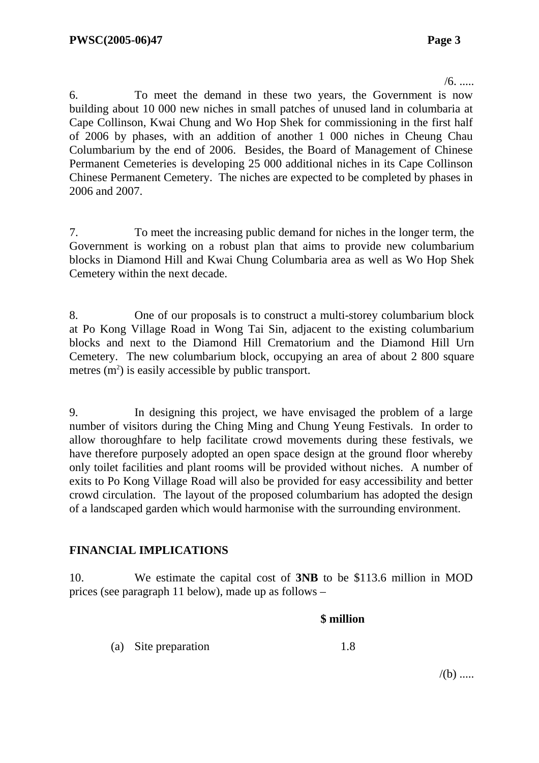$/6.$ .....

6. To meet the demand in these two years, the Government is now building about 10 000 new niches in small patches of unused land in columbaria at Cape Collinson, Kwai Chung and Wo Hop Shek for commissioning in the first half of 2006 by phases, with an addition of another 1 000 niches in Cheung Chau Columbarium by the end of 2006. Besides, the Board of Management of Chinese Permanent Cemeteries is developing 25 000 additional niches in its Cape Collinson Chinese Permanent Cemetery. The niches are expected to be completed by phases in 2006 and 2007.

7. To meet the increasing public demand for niches in the longer term, the Government is working on a robust plan that aims to provide new columbarium blocks in Diamond Hill and Kwai Chung Columbaria area as well as Wo Hop Shek Cemetery within the next decade.

8. One of our proposals is to construct a multi-storey columbarium block at Po Kong Village Road in Wong Tai Sin, adjacent to the existing columbarium blocks and next to the Diamond Hill Crematorium and the Diamond Hill Urn Cemetery. The new columbarium block, occupying an area of about 2 800 square metres  $(m<sup>2</sup>)$  is easily accessible by public transport.

9. In designing this project, we have envisaged the problem of a large number of visitors during the Ching Ming and Chung Yeung Festivals. In order to allow thoroughfare to help facilitate crowd movements during these festivals, we have therefore purposely adopted an open space design at the ground floor whereby only toilet facilities and plant rooms will be provided without niches. A number of exits to Po Kong Village Road will also be provided for easy accessibility and better crowd circulation. The layout of the proposed columbarium has adopted the design of a landscaped garden which would harmonise with the surrounding environment.

## **FINANCIAL IMPLICATIONS**

10. We estimate the capital cost of **3NB** to be \$113.6 million in MOD prices (see paragraph 11 below), made up as follows –

#### **\$ million**

(a) Site preparation 1.8

 $/(b)$  .....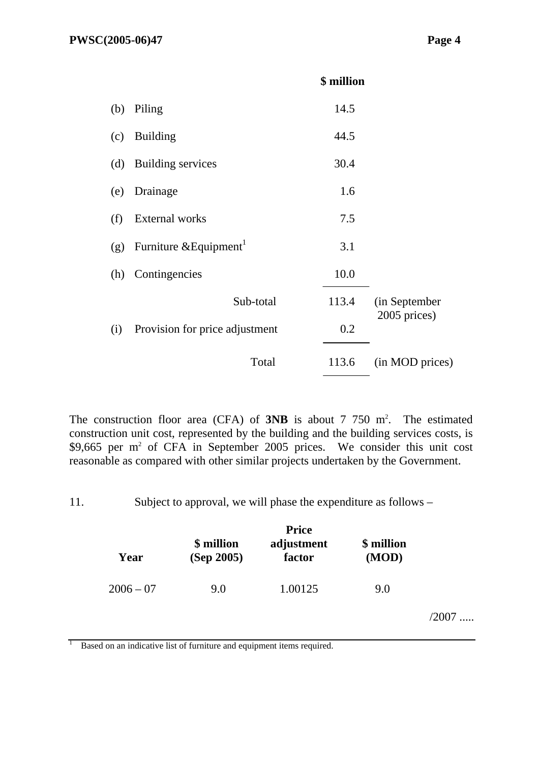|     |                                    | \$ million |                 |
|-----|------------------------------------|------------|-----------------|
| (b) | Piling                             | 14.5       |                 |
| (c) | <b>Building</b>                    | 44.5       |                 |
| (d) | Building services                  | 30.4       |                 |
| (e) | Drainage                           | 1.6        |                 |
| (f) | External works                     | 7.5        |                 |
| (g) | Furniture & Equipment <sup>1</sup> | 3.1        |                 |
| (h) | Contingencies                      | 10.0       |                 |
|     | Sub-total                          | 113.4      | (in September   |
| (i) | Provision for price adjustment     | 0.2        | 2005 prices)    |
|     | Total                              | 113.6      | (in MOD prices) |
|     |                                    |            |                 |

The construction floor area  $(CFA)$  of **3NB** is about 7 750 m<sup>2</sup>. The estimated construction unit cost, represented by the building and the building services costs, is \$9,665 per  $m<sup>2</sup>$  of CFA in September 2005 prices. We consider this unit cost reasonable as compared with other similar projects undertaken by the Government.

11. Subject to approval, we will phase the expenditure as follows –

| Year        | \$ million<br>(Sep 2005) | <b>Price</b><br>adjustment<br>factor | \$ million<br>(MOD) |         |
|-------------|--------------------------|--------------------------------------|---------------------|---------|
| $2006 - 07$ | 9.0                      | 1.00125                              | 9.0                 |         |
|             |                          |                                      |                     | $/2007$ |

<sup>1</sup> Based on an indicative list of furniture and equipment items required.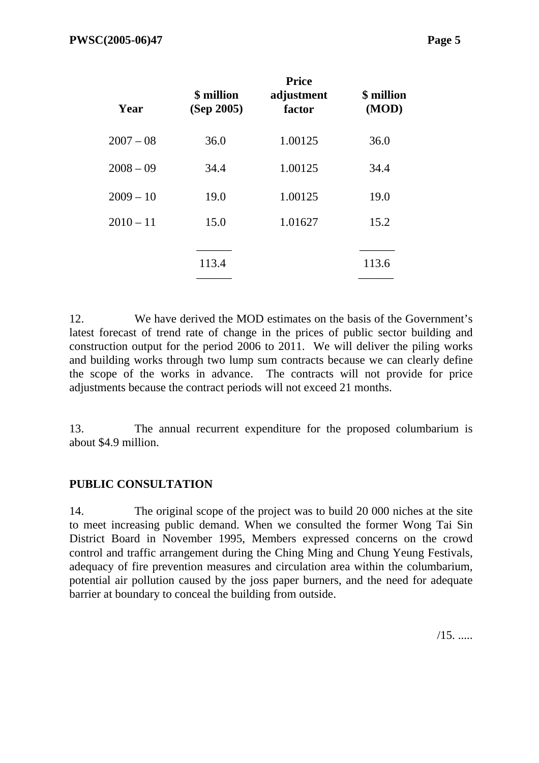| Year        | \$ million<br>(Sep 2005) | <b>Price</b><br>adjustment<br>factor | \$ million<br>(MOD) |
|-------------|--------------------------|--------------------------------------|---------------------|
| $2007 - 08$ | 36.0                     | 1.00125                              | 36.0                |
| $2008 - 09$ | 34.4                     | 1.00125                              | 34.4                |
| $2009 - 10$ | 19.0                     | 1.00125                              | 19.0                |
| $2010 - 11$ | 15.0                     | 1.01627                              | 15.2                |
|             | 113.4                    |                                      | 113.6               |

12. We have derived the MOD estimates on the basis of the Government's latest forecast of trend rate of change in the prices of public sector building and construction output for the period 2006 to 2011. We will deliver the piling works and building works through two lump sum contracts because we can clearly define the scope of the works in advance. The contracts will not provide for price adjustments because the contract periods will not exceed 21 months.

13. The annual recurrent expenditure for the proposed columbarium is about \$4.9 million.

## **PUBLIC CONSULTATION**

14. The original scope of the project was to build 20 000 niches at the site to meet increasing public demand. When we consulted the former Wong Tai Sin District Board in November 1995, Members expressed concerns on the crowd control and traffic arrangement during the Ching Ming and Chung Yeung Festivals, adequacy of fire prevention measures and circulation area within the columbarium, potential air pollution caused by the joss paper burners, and the need for adequate barrier at boundary to conceal the building from outside.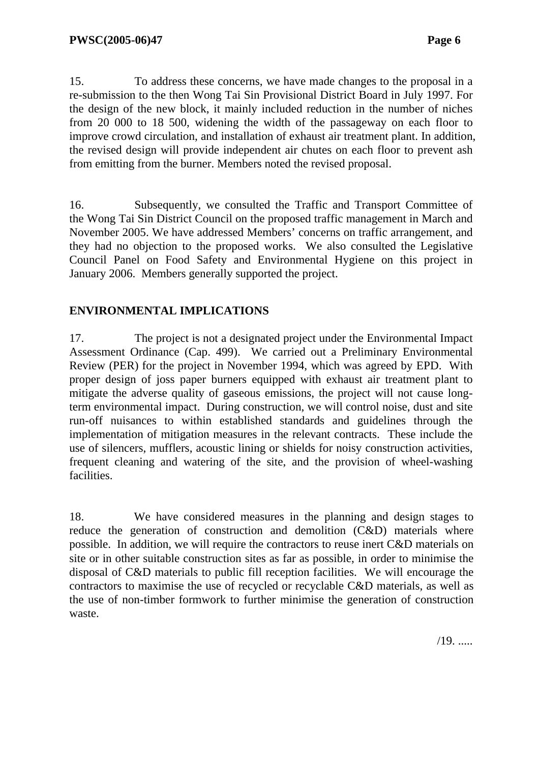15. To address these concerns, we have made changes to the proposal in a re-submission to the then Wong Tai Sin Provisional District Board in July 1997. For the design of the new block, it mainly included reduction in the number of niches from 20 000 to 18 500, widening the width of the passageway on each floor to improve crowd circulation, and installation of exhaust air treatment plant. In addition, the revised design will provide independent air chutes on each floor to prevent ash from emitting from the burner. Members noted the revised proposal.

16. Subsequently, we consulted the Traffic and Transport Committee of the Wong Tai Sin District Council on the proposed traffic management in March and November 2005. We have addressed Members' concerns on traffic arrangement, and they had no objection to the proposed works. We also consulted the Legislative Council Panel on Food Safety and Environmental Hygiene on this project in January 2006. Members generally supported the project.

# **ENVIRONMENTAL IMPLICATIONS**

17. The project is not a designated project under the Environmental Impact Assessment Ordinance (Cap. 499). We carried out a Preliminary Environmental Review (PER) for the project in November 1994, which was agreed by EPD. With proper design of joss paper burners equipped with exhaust air treatment plant to mitigate the adverse quality of gaseous emissions, the project will not cause longterm environmental impact. During construction, we will control noise, dust and site run-off nuisances to within established standards and guidelines through the implementation of mitigation measures in the relevant contracts. These include the use of silencers, mufflers, acoustic lining or shields for noisy construction activities, frequent cleaning and watering of the site, and the provision of wheel-washing facilities.

18. We have considered measures in the planning and design stages to reduce the generation of construction and demolition (C&D) materials where possible. In addition, we will require the contractors to reuse inert C&D materials on site or in other suitable construction sites as far as possible, in order to minimise the disposal of C&D materials to public fill reception facilities. We will encourage the contractors to maximise the use of recycled or recyclable C&D materials, as well as the use of non-timber formwork to further minimise the generation of construction waste.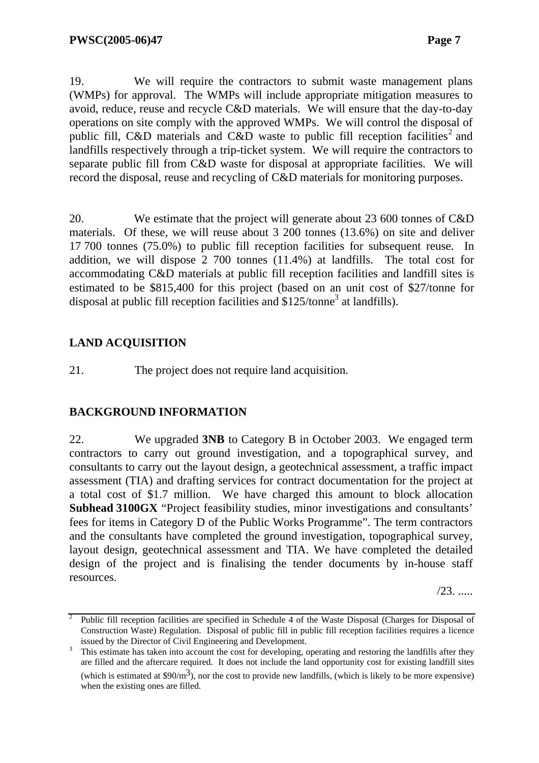19. We will require the contractors to submit waste management plans (WMPs) for approval. The WMPs will include appropriate mitigation measures to avoid, reduce, reuse and recycle C&D materials. We will ensure that the day-to-day operations on site comply with the approved WMPs. We will control the disposal of public fill, C&D materials and C&D waste to public fill reception facilities<sup>2</sup> and landfills respectively through a trip-ticket system. We will require the contractors to separate public fill from C&D waste for disposal at appropriate facilities. We will record the disposal, reuse and recycling of C&D materials for monitoring purposes.

20. We estimate that the project will generate about 23 600 tonnes of C&D materials. Of these, we will reuse about 3 200 tonnes (13.6%) on site and deliver 17 700 tonnes (75.0%) to public fill reception facilities for subsequent reuse. In addition, we will dispose 2 700 tonnes (11.4%) at landfills. The total cost for accommodating C&D materials at public fill reception facilities and landfill sites is estimated to be \$815,400 for this project (based on an unit cost of \$27/tonne for disposal at public fill reception facilities and  $$125/tonne<sup>3</sup>$  at landfills).

# **LAND ACQUISITION**

21. The project does not require land acquisition.

# **BACKGROUND INFORMATION**

22. We upgraded **3NB** to Category B in October 2003. We engaged term contractors to carry out ground investigation, and a topographical survey, and consultants to carry out the layout design, a geotechnical assessment, a traffic impact assessment (TIA) and drafting services for contract documentation for the project at a total cost of \$1.7 million. We have charged this amount to block allocation **Subhead 3100GX** "Project feasibility studies, minor investigations and consultants' fees for items in Category D of the Public Works Programme". The term contractors and the consultants have completed the ground investigation, topographical survey, layout design, geotechnical assessment and TIA. We have completed the detailed design of the project and is finalising the tender documents by in-house staff resources.

 $/23$ . .....

<sup>2</sup> Public fill reception facilities are specified in Schedule 4 of the Waste Disposal (Charges for Disposal of Construction Waste) Regulation. Disposal of public fill in public fill reception facilities requires a licence issued by the Director of Civil Engineering and Development.

This estimate has taken into account the cost for developing, operating and restoring the landfills after they are filled and the aftercare required. It does not include the land opportunity cost for existing landfill sites (which is estimated at  $$90/m^3$ ), nor the cost to provide new landfills, (which is likely to be more expensive) when the existing ones are filled.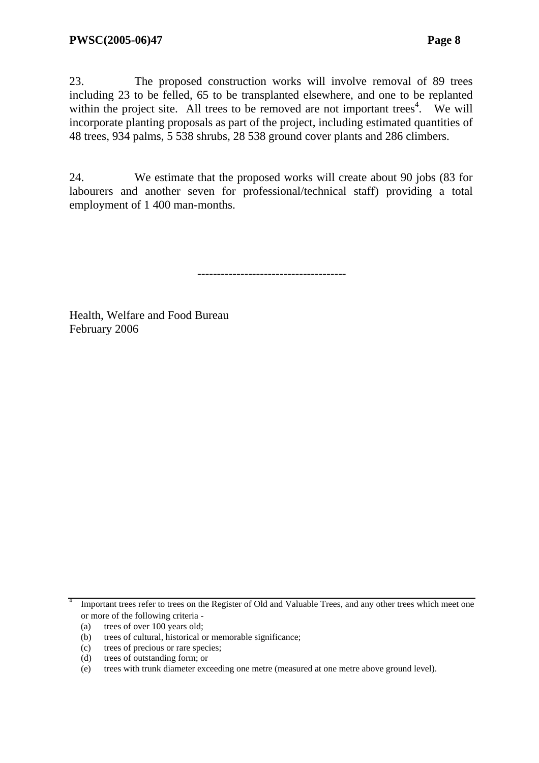23. The proposed construction works will involve removal of 89 trees including 23 to be felled, 65 to be transplanted elsewhere, and one to be replanted within the project site. All trees to be removed are not important trees<sup>4</sup>. We will incorporate planting proposals as part of the project, including estimated quantities of 48 trees, 934 palms, 5 538 shrubs, 28 538 ground cover plants and 286 climbers.

24. We estimate that the proposed works will create about 90 jobs (83 for labourers and another seven for professional/technical staff) providing a total employment of 1 400 man-months.

--------------------------------------

Health, Welfare and Food Bureau February 2006

<sup>&</sup>lt;sup>4</sup> Important trees refer to trees on the Register of Old and Valuable Trees, and any other trees which meet one or more of the following criteria -

<sup>(</sup>a) trees of over 100 years old;

<sup>(</sup>b) trees of cultural, historical or memorable significance;

<sup>(</sup>c) trees of precious or rare species;

<sup>(</sup>d) trees of outstanding form; or

<sup>(</sup>e) trees with trunk diameter exceeding one metre (measured at one metre above ground level).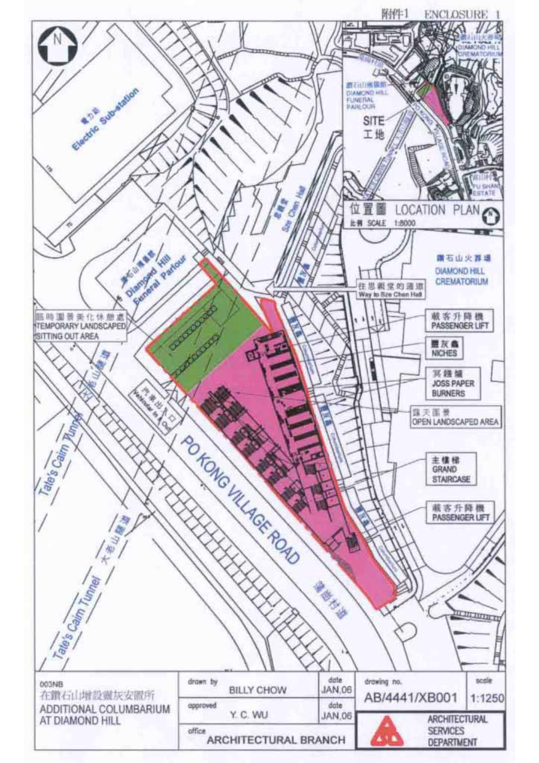